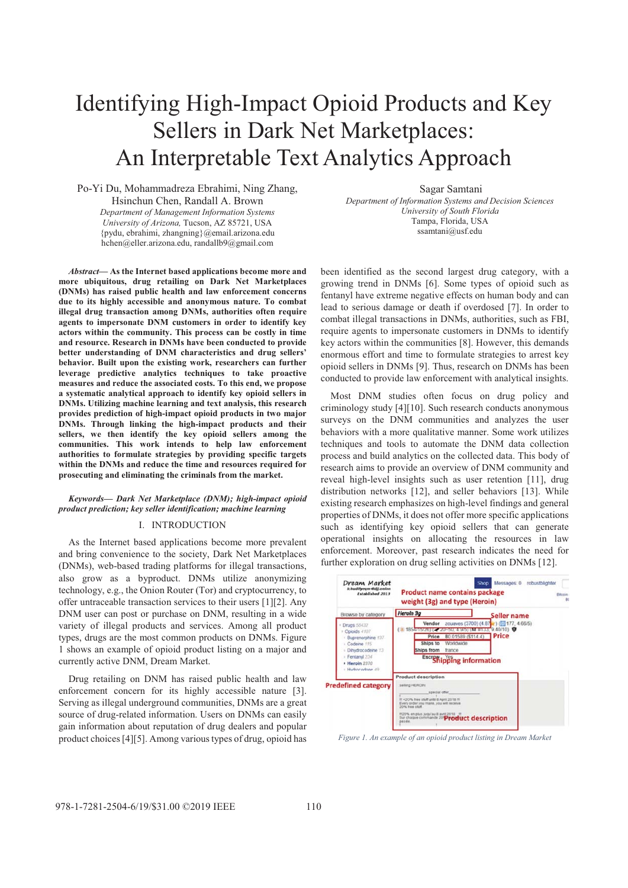# Identifying High-Impact Opioid Products and Key Sellers in Dark Net Marketplaces: An Interpretable Text Analytics Approach

Po-Yi Du, Mohammadreza Ebrahimi, Ning Zhang, Hsinchun Chen, Randall A. Brown *Department of Management Information Systems University of Arizona,* Tucson, AZ 85721, USA {pydu, ebrahimi, zhangning}@email.arizona.edu hchen@eller.arizona.edu, randallb9@gmail.com

*Abstract***— As the Internet based applications become more and more ubiquitous, drug retailing on Dark Net Marketplaces (DNMs) has raised public health and law enforcement concerns due to its highly accessible and anonymous nature. To combat illegal drug transaction among DNMs, authorities often require agents to impersonate DNM customers in order to identify key actors within the community. This process can be costly in time and resource. Research in DNMs have been conducted to provide better understanding of DNM characteristics and drug sellers' behavior. Built upon the existing work, researchers can further leverage predictive analytics techniques to take proactive measures and reduce the associated costs. To this end, we propose a systematic analytical approach to identify key opioid sellers in DNMs. Utilizing machine learning and text analysis, this research provides prediction of high-impact opioid products in two major DNMs. Through linking the high-impact products and their sellers, we then identify the key opioid sellers among the communities. This work intends to help law enforcement authorities to formulate strategies by providing specific targets within the DNMs and reduce the time and resources required for prosecuting and eliminating the criminals from the market.** 

## *Keywords— Dark Net Marketplace (DNM); high-impact opioid product prediction; key seller identification; machine learning*

## I. INTRODUCTION

As the Internet based applications become more prevalent and bring convenience to the society, Dark Net Marketplaces (DNMs), web-based trading platforms for illegal transactions, also grow as a byproduct. DNMs utilize anonymizing technology, e.g., the Onion Router (Tor) and cryptocurrency, to offer untraceable transaction services to their users [1][2]. Any DNM user can post or purchase on DNM, resulting in a wide variety of illegal products and services. Among all product types, drugs are the most common products on DNMs. Figure 1 shows an example of opioid product listing on a major and currently active DNM, Dream Market.

Drug retailing on DNM has raised public health and law enforcement concern for its highly accessible nature [3]. Serving as illegal underground communities, DNMs are a great source of drug-related information. Users on DNMs can easily gain information about reputation of drug dealers and popular product choices [4][5]. Among various types of drug, opioid has

Sagar Samtani *Department of Information Systems and Decision Sciences University of South Florida*  Tampa, Florida, USA ssamtani@usf.edu

been identified as the second largest drug category, with a growing trend in DNMs [6]. Some types of opioid such as fentanyl have extreme negative effects on human body and can lead to serious damage or death if overdosed [7]. In order to combat illegal transactions in DNMs, authorities, such as FBI, require agents to impersonate customers in DNMs to identify key actors within the communities [8]. However, this demands enormous effort and time to formulate strategies to arrest key opioid sellers in DNMs [9]. Thus, research on DNMs has been conducted to provide law enforcement with analytical insights.

Most DNM studies often focus on drug policy and criminology study [4][10]. Such research conducts anonymous surveys on the DNM communities and analyzes the user behaviors with a more qualitative manner. Some work utilizes techniques and tools to automate the DNM data collection process and build analytics on the collected data. This body of research aims to provide an overview of DNM community and reveal high-level insights such as user retention [11], drug distribution networks [12], and seller behaviors [13]. While existing research emphasizes on high-level findings and general properties of DNMs, it does not offer more specific applications such as identifying key opioid sellers that can generate operational insights on allocating the resources in law enforcement. Moreover, past research indicates the need for further exploration on drug selling activities on DNMs [12].



*Figure 1. An example of an opioid product listing in Dream Market*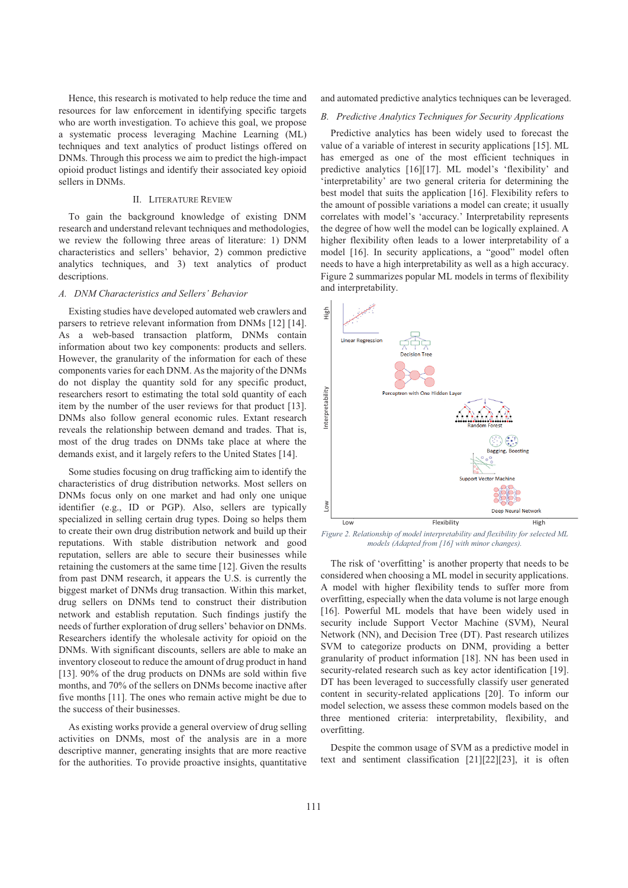Hence, this research is motivated to help reduce the time and resources for law enforcement in identifying specific targets who are worth investigation. To achieve this goal, we propose a systematic process leveraging Machine Learning (ML) techniques and text analytics of product listings offered on DNMs. Through this process we aim to predict the high-impact opioid product listings and identify their associated key opioid sellers in DNMs.

### II. LITERATURE REVIEW

To gain the background knowledge of existing DNM research and understand relevant techniques and methodologies, we review the following three areas of literature: 1) DNM characteristics and sellers' behavior, 2) common predictive analytics techniques, and 3) text analytics of product descriptions.

## *A. DNM Characteristics and Sellers' Behavior*

Existing studies have developed automated web crawlers and parsers to retrieve relevant information from DNMs [12] [14]. As a web-based transaction platform, DNMs contain information about two key components: products and sellers. However, the granularity of the information for each of these components varies for each DNM. As the majority of the DNMs do not display the quantity sold for any specific product, researchers resort to estimating the total sold quantity of each item by the number of the user reviews for that product [13]. DNMs also follow general economic rules. Extant research reveals the relationship between demand and trades. That is, most of the drug trades on DNMs take place at where the demands exist, and it largely refers to the United States [14].

Some studies focusing on drug trafficking aim to identify the characteristics of drug distribution networks. Most sellers on DNMs focus only on one market and had only one unique identifier (e.g., ID or PGP). Also, sellers are typically specialized in selling certain drug types. Doing so helps them to create their own drug distribution network and build up their reputations. With stable distribution network and good reputation, sellers are able to secure their businesses while retaining the customers at the same time [12]. Given the results from past DNM research, it appears the U.S. is currently the biggest market of DNMs drug transaction. Within this market, drug sellers on DNMs tend to construct their distribution network and establish reputation. Such findings justify the needs of further exploration of drug sellers' behavior on DNMs. Researchers identify the wholesale activity for opioid on the DNMs. With significant discounts, sellers are able to make an inventory closeout to reduce the amount of drug product in hand [13]. 90% of the drug products on DNMs are sold within five months, and 70% of the sellers on DNMs become inactive after five months [11]. The ones who remain active might be due to the success of their businesses.

As existing works provide a general overview of drug selling activities on DNMs, most of the analysis are in a more descriptive manner, generating insights that are more reactive for the authorities. To provide proactive insights, quantitative and automated predictive analytics techniques can be leveraged.

## *B. Predictive Analytics Techniques for Security Applications*

Predictive analytics has been widely used to forecast the value of a variable of interest in security applications [15]. ML has emerged as one of the most efficient techniques in predictive analytics [16][17]. ML model's 'flexibility' and 'interpretability' are two general criteria for determining the best model that suits the application [16]. Flexibility refers to the amount of possible variations a model can create; it usually correlates with model's 'accuracy.' Interpretability represents the degree of how well the model can be logically explained. A higher flexibility often leads to a lower interpretability of a model [16]. In security applications, a "good" model often needs to have a high interpretability as well as a high accuracy. Figure 2 summarizes popular ML models in terms of flexibility and interpretability.



*Figure 2. Relationship of model interpretability and flexibility for selected ML models (Adapted from [16] with minor changes).* 

The risk of 'overfitting' is another property that needs to be considered when choosing a ML model in security applications. A model with higher flexibility tends to suffer more from overfitting, especially when the data volume is not large enough [16]. Powerful ML models that have been widely used in security include Support Vector Machine (SVM), Neural Network (NN), and Decision Tree (DT). Past research utilizes SVM to categorize products on DNM, providing a better granularity of product information [18]. NN has been used in security-related research such as key actor identification [19]. DT has been leveraged to successfully classify user generated content in security-related applications [20]. To inform our model selection, we assess these common models based on the three mentioned criteria: interpretability, flexibility, and overfitting.

Despite the common usage of SVM as a predictive model in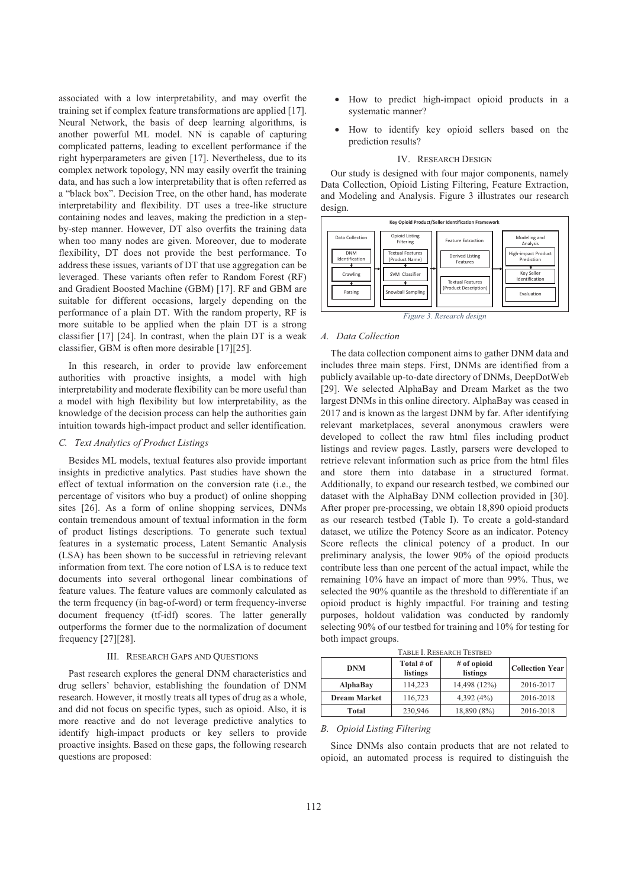associated with a low interpretability, and may overfit the training set if complex feature transformations are applied [17]. Neural Network, the basis of deep learning algorithms, is another powerful ML model. NN is capable of capturing complicated patterns, leading to excellent performance if the right hyperparameters are given [17]. Nevertheless, due to its complex network topology, NN may easily overfit the training data, and has such a low interpretability that is often referred as a "black box". Decision Tree, on the other hand, has moderate interpretability and flexibility. DT uses a tree-like structure containing nodes and leaves, making the prediction in a stepby-step manner. However, DT also overfits the training data when too many nodes are given. Moreover, due to moderate flexibility, DT does not provide the best performance. To address these issues, variants of DT that use aggregation can be leveraged. These variants often refer to Random Forest (RF) and Gradient Boosted Machine (GBM) [17]. RF and GBM are suitable for different occasions, largely depending on the performance of a plain DT. With the random property, RF is more suitable to be applied when the plain DT is a strong classifier [17] [24]. In contrast, when the plain DT is a weak classifier, GBM is often more desirable [17][25].

In this research, in order to provide law enforcement authorities with proactive insights, a model with high interpretability and moderate flexibility can be more useful than a model with high flexibility but low interpretability, as the knowledge of the decision process can help the authorities gain intuition towards high-impact product and seller identification.

## *C. Text Analytics of Product Listings*

 Besides ML models, textual features also provide important insights in predictive analytics. Past studies have shown the effect of textual information on the conversion rate (i.e., the percentage of visitors who buy a product) of online shopping sites [26]. As a form of online shopping services, DNMs contain tremendous amount of textual information in the form of product listings descriptions. To generate such textual features in a systematic process, Latent Semantic Analysis (LSA) has been shown to be successful in retrieving relevant information from text. The core notion of LSA is to reduce text documents into several orthogonal linear combinations of feature values. The feature values are commonly calculated as the term frequency (in bag-of-word) or term frequency-inverse document frequency (tf-idf) scores. The latter generally outperforms the former due to the normalization of document frequency [27][28].

#### III. RESEARCH GAPS AND QUESTIONS

Past research explores the general DNM characteristics and drug sellers' behavior, establishing the foundation of DNM research. However, it mostly treats all types of drug as a whole, and did not focus on specific types, such as opioid. Also, it is more reactive and do not leverage predictive analytics to identify high-impact products or key sellers to provide proactive insights. Based on these gaps, the following research questions are proposed:

- How to predict high-impact opioid products in a systematic manner?
- How to identify key opioid sellers based on the prediction results?

#### IV. RESEARCH DESIGN

Our study is designed with four major components, namely Data Collection, Opioid Listing Filtering, Feature Extraction, and Modeling and Analysis. Figure 3 illustrates our research design.



*Figure 3. Research design*

#### *A. Data Collection*

The data collection component aims to gather DNM data and includes three main steps. First, DNMs are identified from a publicly available up-to-date directory of DNMs, DeepDotWeb [29]. We selected AlphaBay and Dream Market as the two largest DNMs in this online directory. AlphaBay was ceased in 2017 and is known as the largest DNM by far. After identifying relevant marketplaces, several anonymous crawlers were developed to collect the raw html files including product listings and review pages. Lastly, parsers were developed to retrieve relevant information such as price from the html files and store them into database in a structured format. Additionally, to expand our research testbed, we combined our dataset with the AlphaBay DNM collection provided in [30]. After proper pre-processing, we obtain 18,890 opioid products as our research testbed (Table I). To create a gold-standard dataset, we utilize the Potency Score as an indicator. Potency Score reflects the clinical potency of a product. In our preliminary analysis, the lower 90% of the opioid products contribute less than one percent of the actual impact, while the remaining 10% have an impact of more than 99%. Thus, we selected the 90% quantile as the threshold to differentiate if an opioid product is highly impactful. For training and testing purposes, holdout validation was conducted by randomly selecting 90% of our testbed for training and 10% for testing for both impact groups.

| TADLE I. RESEARCH TESTDED |                        |                         |                        |  |
|---------------------------|------------------------|-------------------------|------------------------|--|
| <b>DNM</b>                | Total # of<br>listings | # of opioid<br>listings | <b>Collection Year</b> |  |
| <b>AlphaBay</b>           | 114.223                | 14,498 (12%)            | 2016-2017              |  |
| <b>Dream Market</b>       | 116,723                | 4,392(4%)               | 2016-2018              |  |

**Total** 230,946 18,890 (8%) 2016-2018

TABLE I. RESEARCH TESTBED

#### *B. Opioid Listing Filtering*

Since DNMs also contain products that are not related to opioid, an automated process is required to distinguish the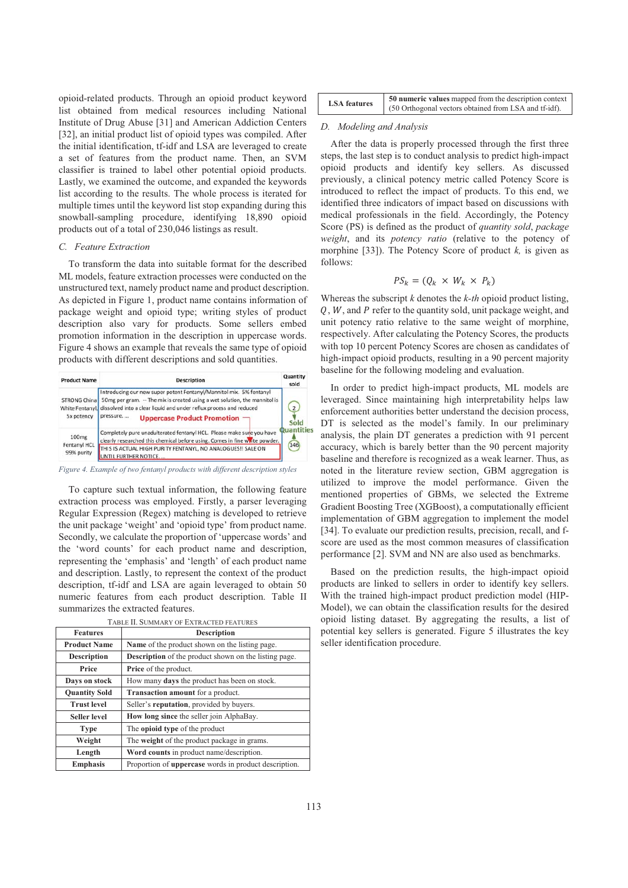opioid-related products. Through an opioid product keyword list obtained from medical resources including National Institute of Drug Abuse [31] and American Addiction Centers [32], an initial product list of opioid types was compiled. After the initial identification, tf-idf and LSA are leveraged to create a set of features from the product name. Then, an SVM classifier is trained to label other potential opioid products. Lastly, we examined the outcome, and expanded the keywords list according to the results. The whole process is iterated for multiple times until the keyword list stop expanding during this snowball-sampling procedure, identifying 18,890 opioid products out of a total of 230,046 listings as result.

# *C. Feature Extraction*

To transform the data into suitable format for the described ML models, feature extraction processes were conducted on the unstructured text, namely product name and product description. As depicted in Figure 1, product name contains information of package weight and opioid type; writing styles of product description also vary for products. Some sellers embed promotion information in the description in uppercase words. Figure 4 shows an example that reveals the same type of opioid products with different descriptions and sold quantities.



*Figure 4. Example of two fentanyl products with different description styles*

To capture such textual information, the following feature extraction process was employed. Firstly, a parser leveraging Regular Expression (Regex) matching is developed to retrieve the unit package 'weight' and 'opioid type' from product name. Secondly, we calculate the proportion of 'uppercase words' and the 'word counts' for each product name and description, representing the 'emphasis' and 'length' of each product name and description. Lastly, to represent the context of the product description, tf-idf and LSA are again leveraged to obtain 50 numeric features from each product description. Table II summarizes the extracted features.

| <b>Features</b>      | <b>Description</b>                                           |  |  |
|----------------------|--------------------------------------------------------------|--|--|
| <b>Product Name</b>  | Name of the product shown on the listing page.               |  |  |
| <b>Description</b>   | <b>Description</b> of the product shown on the listing page. |  |  |
| Price                | Price of the product.                                        |  |  |
| Days on stock        | How many <b>days</b> the product has been on stock.          |  |  |
| <b>Quantity Sold</b> | <b>Transaction amount</b> for a product.                     |  |  |
| <b>Trust level</b>   | Seller's reputation, provided by buyers.                     |  |  |
| Seller level         | How long since the seller join AlphaBay.                     |  |  |
| <b>Type</b>          | The <b>opioid type</b> of the product                        |  |  |
| Weight               | The weight of the product package in grams.                  |  |  |
| Length               | Word counts in product name/description.                     |  |  |
| <b>Emphasis</b>      | Proportion of <b>uppercase</b> words in product description. |  |  |

TABLE II. SUMMARY OF EXTRACTED FEATURES

| <b>LSA</b> features | 50 numeric values mapped from the description context |  |  |
|---------------------|-------------------------------------------------------|--|--|
|                     | (50 Orthogonal vectors obtained from LSA and tf-idf). |  |  |

#### *D. Modeling and Analysis*

After the data is properly processed through the first three steps, the last step is to conduct analysis to predict high-impact opioid products and identify key sellers. As discussed previously, a clinical potency metric called Potency Score is introduced to reflect the impact of products. To this end, we identified three indicators of impact based on discussions with medical professionals in the field. Accordingly, the Potency Score (PS) is defined as the product of *quantity sold*, *package weight*, and its *potency ratio* (relative to the potency of morphine [33]). The Potency Score of product *k,* is given as follows:

$$
PS_k = (Q_k \times W_k \times P_k)
$$

Whereas the subscript *k* denotes the *k-th* opioid product listing,  $Q, W$ , and  $P$  refer to the quantity sold, unit package weight, and unit potency ratio relative to the same weight of morphine, respectively. After calculating the Potency Scores, the products with top 10 percent Potency Scores are chosen as candidates of high-impact opioid products, resulting in a 90 percent majority baseline for the following modeling and evaluation.

In order to predict high-impact products, ML models are leveraged. Since maintaining high interpretability helps law enforcement authorities better understand the decision process, DT is selected as the model's family. In our preliminary analysis, the plain DT generates a prediction with 91 percent accuracy, which is barely better than the 90 percent majority baseline and therefore is recognized as a weak learner. Thus, as noted in the literature review section, GBM aggregation is utilized to improve the model performance. Given the mentioned properties of GBMs, we selected the Extreme Gradient Boosting Tree (XGBoost), a computationally efficient implementation of GBM aggregation to implement the model [34]. To evaluate our prediction results, precision, recall, and fscore are used as the most common measures of classification performance [2]. SVM and NN are also used as benchmarks.

Based on the prediction results, the high-impact opioid products are linked to sellers in order to identify key sellers. With the trained high-impact product prediction model (HIP-Model), we can obtain the classification results for the desired opioid listing dataset. By aggregating the results, a list of potential key sellers is generated. Figure 5 illustrates the key seller identification procedure.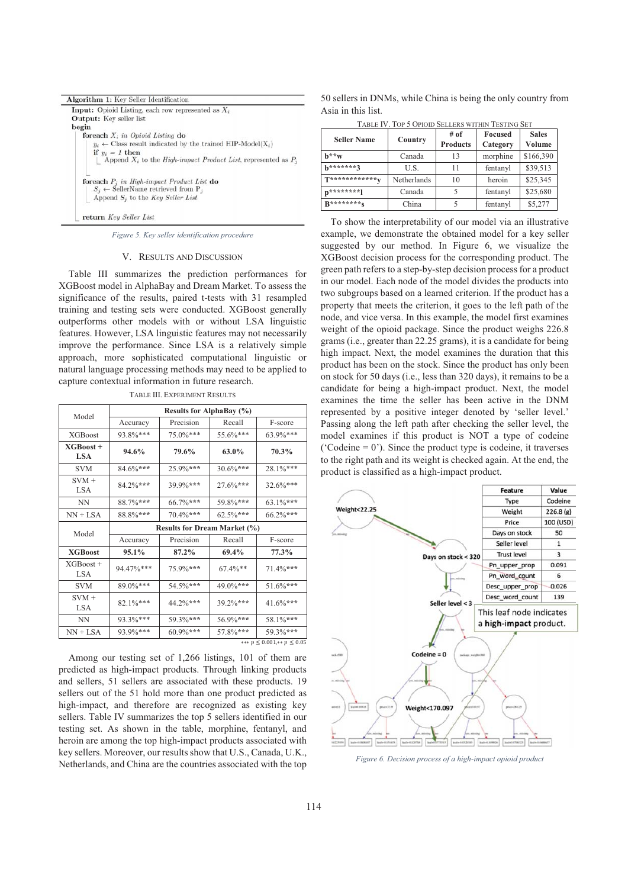| Algorithm 1: Key Seller Identification                                            |
|-----------------------------------------------------------------------------------|
| <b>Input:</b> Opioid Listing, each row represented as $X_i$                       |
| <b>Output:</b> Key seller list                                                    |
| begin                                                                             |
| foreach $X_i$ in Opioid Listing do                                                |
| $y_i \leftarrow$ Class result indicated by the trained HIP-Model(X <sub>i</sub> ) |
| if $y_i = 1$ then                                                                 |
| Append $X_i$ to the <i>High-impact Product List</i> , represented as $P_i$        |
| foreach $P_i$ in High-impact Product List do                                      |
| $S_i \leftarrow$ SellerName retrieved from P <sub>i</sub>                         |
| Append $S_i$ to the Key Seller List                                               |
| return Key Seller List                                                            |

*Figure 5. Key seller identification procedure*

#### V. RESULTS AND DISCUSSION

Table III summarizes the prediction performances for XGBoost model in AlphaBay and Dream Market. To assess the significance of the results, paired t-tests with 31 resampled training and testing sets were conducted. XGBoost generally outperforms other models with or without LSA linguistic features. However, LSA linguistic features may not necessarily improve the performance. Since LSA is a relatively simple approach, more sophisticated computational linguistic or natural language processing methods may need to be applied to capture contextual information in future research.

|                           | Results for AlphaBay (%)            |           |             |          |  |
|---------------------------|-------------------------------------|-----------|-------------|----------|--|
| Model                     | Accuracy                            | Precision | Recall      | F-score  |  |
| <b>XGBoost</b>            | 93.8%***                            | 75.0%***  | 55.6%***    | 63.9%*** |  |
| $XGBoost +$<br><b>LSA</b> | 94.6%                               | 79.6%     | 63.0%       | 70.3%    |  |
| <b>SVM</b>                | 84.6%***                            | 25.9%***  | 30.6%***    | 28.1%*** |  |
| $SVM +$<br><b>LSA</b>     | 84.2%***                            | 39.9%***  | 27.6%***    | 32.6%*** |  |
| <b>NN</b>                 | 88.7%***                            | 66.7%***  | 59.8%***    | 63.1%*** |  |
| $NN + LSA$                | 88.8%***                            | 70.4%***  | $62.5\%***$ | 66.2%*** |  |
| Model                     | <b>Results for Dream Market (%)</b> |           |             |          |  |
|                           | Accuracy                            | Precision | Recall      | F-score  |  |
| <b>XGBoost</b>            | 95.1%                               | 87.2%     | 69.4%       | 77.3%    |  |
| $XGBoost +$<br><b>LSA</b> | 94.47%***                           | 75.9%***  | $67.4\%**$  | 71.4%*** |  |
| <b>SVM</b>                | 89.0%***                            | 54.5%***  | 49.0%***    | 51.6%*** |  |
| $SVM +$<br><b>LSA</b>     | 82.1%***                            | 44.2%***  | 39.2%***    | 41.6%*** |  |
| <b>NN</b>                 | 93.3%***                            | 59.3%***  | 56.9%***    | 58.1%*** |  |
| $NN + LSA$                | 93.9%***                            | 60.9%***  | 57.8%***    | 59.3%*** |  |

TABLE III. EXPERIMENT RESULTS

Among our testing set of 1,266 listings, 101 of them are predicted as high-impact products. Through linking products and sellers, 51 sellers are associated with these products. 19 sellers out of the 51 hold more than one product predicted as high-impact, and therefore are recognized as existing key sellers. Table IV summarizes the top 5 sellers identified in our testing set. As shown in the table, morphine, fentanyl, and heroin are among the top high-impact products associated with key sellers. Moreover, our results show that U.S., Canada, U.K., Netherlands, and China are the countries associated with the top

50 sellers in DNMs, while China is being the only country from Asia in this list.

| TABLE IV. TOP 5 OPIOID SELLERS WITHIN TESTING SET |  |
|---------------------------------------------------|--|
|---------------------------------------------------|--|

| <b>Seller Name</b> | Country     | # of<br><b>Products</b> | Focused<br>Category | <b>Sales</b><br>Volume |
|--------------------|-------------|-------------------------|---------------------|------------------------|
| $h**w$             | Canada      | 13                      | morphine            | \$166,390              |
| h*******?          | U.S.        | 11                      | fentanyl            | \$39,513               |
| T*************     | Netherlands | 10                      | heroin              | \$25,345               |
| $n******1$         | Canada      |                         | fentanyl            | \$25,680               |
| R*********c        | China       |                         | fentanyl            | \$5,277                |

To show the interpretability of our model via an illustrative example, we demonstrate the obtained model for a key seller suggested by our method. In Figure 6, we visualize the XGBoost decision process for the corresponding product. The green path refers to a step-by-step decision process for a product in our model. Each node of the model divides the products into two subgroups based on a learned criterion. If the product has a property that meets the criterion, it goes to the left path of the node, and vice versa. In this example, the model first examines weight of the opioid package. Since the product weighs 226.8 grams (i.e., greater than 22.25 grams), it is a candidate for being high impact. Next, the model examines the duration that this product has been on the stock. Since the product has only been on stock for 50 days (i.e., less than 320 days), it remains to be a candidate for being a high-impact product. Next, the model examines the time the seller has been active in the DNM represented by a positive integer denoted by 'seller level.' Passing along the left path after checking the seller level, the model examines if this product is NOT a type of codeine ('Codeine  $= 0$ '). Since the product type is codeine, it traverses to the right path and its weight is checked again. At the end, the product is classified as a high-impact product.



*Figure 6. Decision process of a high-impact opioid product*